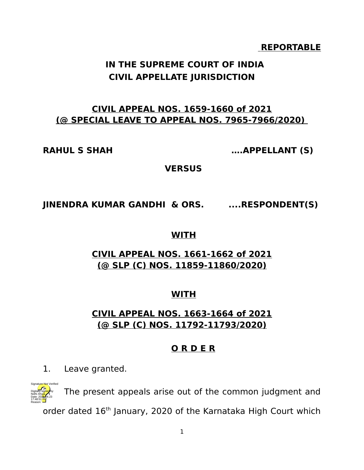#### **REPORTABLE**

# **IN THE SUPREME COURT OF INDIA CIVIL APPELLATE JURISDICTION**

## **CIVIL APPEAL NOS. 1659-1660 of 2021 (@ SPECIAL LEAVE TO APPEAL NOS. 7965-7966/2020)**

**RAHUL S SHAH ….APPELLANT (S)**

**VERSUS**

## **JINENDRA KUMAR GANDHI & ORS. ....RESPONDENT(S)**

#### **WITH**

## **CIVIL APPEAL NOS. 1661-1662 of 2021 (@ SLP (C) NOS. 11859-11860/2020)**

## **WITH**

## **CIVIL APPEAL NOS. 1663-1664 of 2021 (@ SLP (C) NOS. 11792-11793/2020)**

## **O R D E R**

1. Leave granted.



The present appeals arise out of the common judgment and order dated 16<sup>th</sup> January, 2020 of the Karnataka High Court which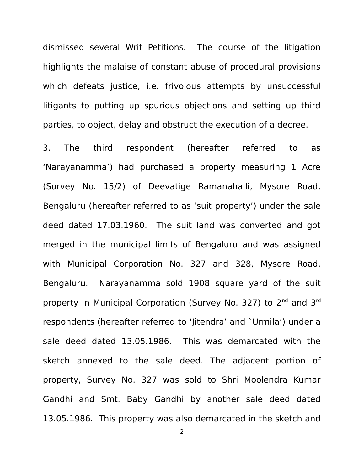dismissed several Writ Petitions. The course of the litigation highlights the malaise of constant abuse of procedural provisions which defeats justice, i.e. frivolous attempts by unsuccessful litigants to putting up spurious objections and setting up third parties, to object, delay and obstruct the execution of a decree.

3. The third respondent (hereafter referred to as 'Narayanamma') had purchased a property measuring 1 Acre (Survey No. 15/2) of Deevatige Ramanahalli, Mysore Road, Bengaluru (hereafter referred to as 'suit property') under the sale deed dated 17.03.1960. The suit land was converted and got merged in the municipal limits of Bengaluru and was assigned with Municipal Corporation No. 327 and 328, Mysore Road, Bengaluru. Narayanamma sold 1908 square yard of the suit property in Municipal Corporation (Survey No. 327) to 2<sup>nd</sup> and 3<sup>rd</sup> respondents (hereafter referred to 'Jitendra' and `Urmila') under a sale deed dated 13.05.1986. This was demarcated with the sketch annexed to the sale deed. The adjacent portion of property, Survey No. 327 was sold to Shri Moolendra Kumar Gandhi and Smt. Baby Gandhi by another sale deed dated 13.05.1986. This property was also demarcated in the sketch and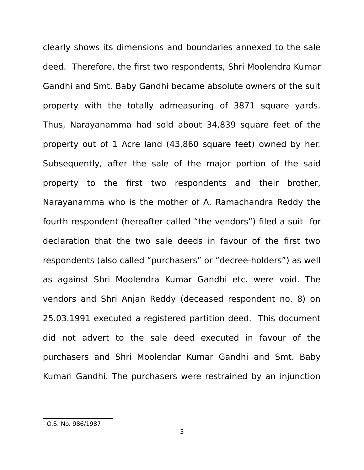clearly shows its dimensions and boundaries annexed to the sale deed. Therefore, the first two respondents, Shri Moolendra Kumar Gandhi and Smt. Baby Gandhi became absolute owners of the suit property with the totally admeasuring of 3871 square yards. Thus, Narayanamma had sold about 34,839 square feet of the property out of 1 Acre land (43,860 square feet) owned by her. Subsequently, after the sale of the major portion of the said property to the first two respondents and their brother, Narayanamma who is the mother of A. Ramachandra Reddy the fourth respondent (hereafter called "the vendors") filed a suit $^{\rm 1}$  $^{\rm 1}$  $^{\rm 1}$  for declaration that the two sale deeds in favour of the first two respondents (also called "purchasers" or "decree-holders") as well as against Shri Moolendra Kumar Gandhi etc. were void. The vendors and Shri Anjan Reddy (deceased respondent no. 8) on 25.03.1991 executed a registered partition deed. This document did not advert to the sale deed executed in favour of the purchasers and Shri Moolendar Kumar Gandhi and Smt. Baby Kumari Gandhi. The purchasers were restrained by an injunction

<span id="page-2-0"></span> $1$  O.S. No. 986/1987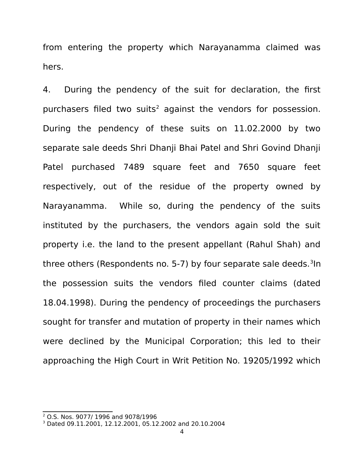from entering the property which Narayanamma claimed was hers.

4. During the pendency of the suit for declaration, the first purchasers filed two suits<sup>[2](#page-3-0)</sup> against the vendors for possession. During the pendency of these suits on 11.02.2000 by two separate sale deeds Shri Dhanji Bhai Patel and Shri Govind Dhanji Patel purchased 7489 square feet and 7650 square feet respectively, out of the residue of the property owned by Narayanamma. While so, during the pendency of the suits instituted by the purchasers, the vendors again sold the suit property i.e. the land to the present appellant (Rahul Shah) and three others (Respondents no. 5-7) by four separate sale deeds.<sup>[3](#page-3-1)</sup>In the possession suits the vendors filed counter claims (dated 18.04.1998). During the pendency of proceedings the purchasers sought for transfer and mutation of property in their names which were declined by the Municipal Corporation; this led to their approaching the High Court in Writ Petition No. 19205/1992 which

<span id="page-3-0"></span><sup>2</sup> O.S. Nos. 9077/ 1996 and 9078/1996

<span id="page-3-1"></span><sup>3</sup> Dated 09.11.2001, 12.12.2001, 05.12.2002 and 20.10.2004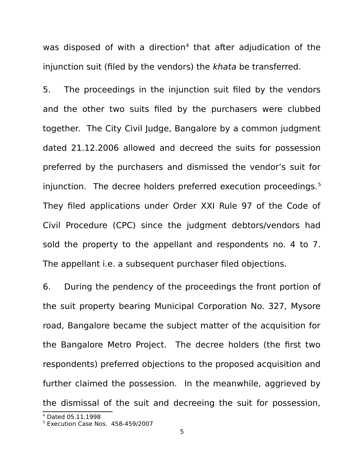was disposed of with a direction<sup>[4](#page-4-0)</sup> that after adjudication of the injunction suit (filed by the vendors) the khata be transferred.

5. The proceedings in the injunction suit filed by the vendors and the other two suits filed by the purchasers were clubbed together. The City Civil Judge, Bangalore by a common judgment dated 21.12.2006 allowed and decreed the suits for possession preferred by the purchasers and dismissed the vendor's suit for injunction. The decree holders preferred execution proceedings.<sup>[5](#page-4-1)</sup> They filed applications under Order XXI Rule 97 of the Code of Civil Procedure (CPC) since the judgment debtors/vendors had sold the property to the appellant and respondents no. 4 to 7. The appellant i.e. a subsequent purchaser filed objections.

6. During the pendency of the proceedings the front portion of the suit property bearing Municipal Corporation No. 327, Mysore road, Bangalore became the subject matter of the acquisition for the Bangalore Metro Project. The decree holders (the first two respondents) preferred objections to the proposed acquisition and further claimed the possession. In the meanwhile, aggrieved by the dismissal of the suit and decreeing the suit for possession,

<span id="page-4-0"></span><sup>4</sup> Dated 05.11.1998

<span id="page-4-1"></span><sup>5</sup> Execution Case Nos. 458-459/2007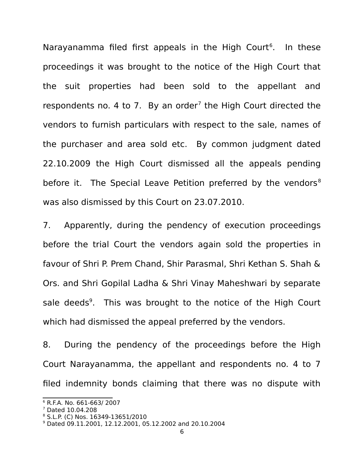Narayanamma filed first appeals in the High Court<sup>[6](#page-5-0)</sup>. In these proceedings it was brought to the notice of the High Court that the suit properties had been sold to the appellant and respondents no. 4 to [7](#page-5-1). By an order<sup>7</sup> the High Court directed the vendors to furnish particulars with respect to the sale, names of the purchaser and area sold etc. By common judgment dated 22.10.2009 the High Court dismissed all the appeals pending before it. The Special Leave Petition preferred by the vendors<sup>[8](#page-5-2)</sup> was also dismissed by this Court on 23.07.2010.

7. Apparently, during the pendency of execution proceedings before the trial Court the vendors again sold the properties in favour of Shri P. Prem Chand, Shir Parasmal, Shri Kethan S. Shah & Ors. and Shri Gopilal Ladha & Shri Vinay Maheshwari by separate sale deeds<sup>[9](#page-5-3)</sup>. This was brought to the notice of the High Court which had dismissed the appeal preferred by the vendors.

8. During the pendency of the proceedings before the High Court Narayanamma, the appellant and respondents no. 4 to 7 filed indemnity bonds claiming that there was no dispute with

<span id="page-5-0"></span><sup>6</sup> R.F.A. No. 661-663/ 2007

<span id="page-5-1"></span><sup>7</sup> Dated 10.04.208

<span id="page-5-2"></span><sup>8</sup> S.L.P. (C) Nos. 16349-13651/2010

<span id="page-5-3"></span><sup>9</sup> Dated 09.11.2001, 12.12.2001, 05.12.2002 and 20.10.2004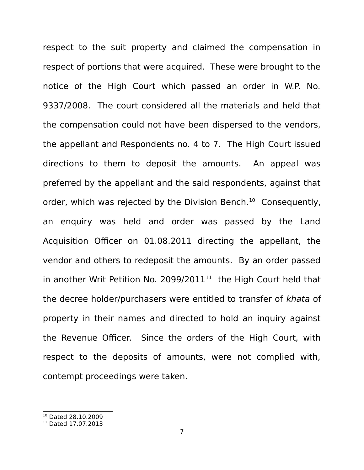respect to the suit property and claimed the compensation in respect of portions that were acquired. These were brought to the notice of the High Court which passed an order in W.P. No. 9337/2008. The court considered all the materials and held that the compensation could not have been dispersed to the vendors, the appellant and Respondents no. 4 to 7. The High Court issued directions to them to deposit the amounts. An appeal was preferred by the appellant and the said respondents, against that order, which was rejected by the Division Bench.<sup>[10](#page-6-0)</sup> Consequently, an enquiry was held and order was passed by the Land Acquisition Officer on 01.08.2011 directing the appellant, the vendor and others to redeposit the amounts. By an order passed in another Writ Petition No. 2099/20[11](#page-6-1) $^{11}$  the High Court held that the decree holder/purchasers were entitled to transfer of khata of property in their names and directed to hold an inquiry against the Revenue Officer. Since the orders of the High Court, with respect to the deposits of amounts, were not complied with, contempt proceedings were taken.

<span id="page-6-0"></span><sup>10</sup> Dated 28.10.2009

<span id="page-6-1"></span><sup>&</sup>lt;sup>11</sup> Dated 17.07.2013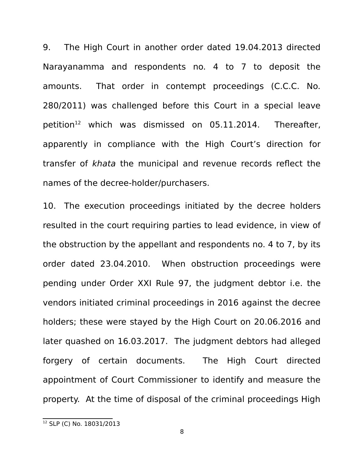9. The High Court in another order dated 19.04.2013 directed Narayanamma and respondents no. 4 to 7 to deposit the amounts. That order in contempt proceedings (C.C.C. No. 280/2011) was challenged before this Court in a special leave petition<sup>[12](#page-7-0)</sup> which was dismissed on 05.11.2014. Thereafter, apparently in compliance with the High Court's direction for transfer of khata the municipal and revenue records reflect the names of the decree-holder/purchasers.

10. The execution proceedings initiated by the decree holders resulted in the court requiring parties to lead evidence, in view of the obstruction by the appellant and respondents no. 4 to 7, by its order dated 23.04.2010. When obstruction proceedings were pending under Order XXI Rule 97, the judgment debtor i.e. the vendors initiated criminal proceedings in 2016 against the decree holders; these were stayed by the High Court on 20.06.2016 and later quashed on 16.03.2017. The judgment debtors had alleged forgery of certain documents. The High Court directed appointment of Court Commissioner to identify and measure the property. At the time of disposal of the criminal proceedings High

<span id="page-7-0"></span><sup>12</sup> SLP (C) No. 18031/2013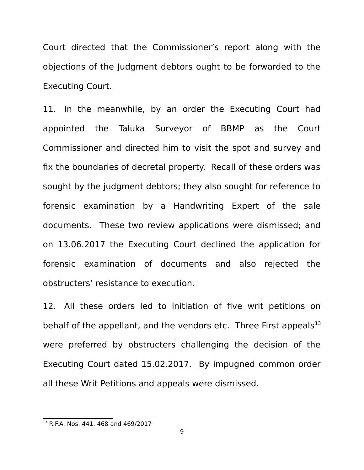Court directed that the Commissioner's report along with the objections of the Judgment debtors ought to be forwarded to the Executing Court.

11. In the meanwhile, by an order the Executing Court had appointed the Taluka Surveyor of BBMP as the Court Commissioner and directed him to visit the spot and survey and fix the boundaries of decretal property. Recall of these orders was sought by the judgment debtors; they also sought for reference to forensic examination by a Handwriting Expert of the sale documents. These two review applications were dismissed; and on 13.06.2017 the Executing Court declined the application for forensic examination of documents and also rejected the obstructers' resistance to execution.

12. All these orders led to initiation of five writ petitions on behalf of the appellant, and the vendors etc. Three First appeals $^{13}$  $^{13}$  $^{13}$ were preferred by obstructers challenging the decision of the Executing Court dated 15.02.2017. By impugned common order all these Writ Petitions and appeals were dismissed.

<span id="page-8-0"></span><sup>&</sup>lt;sup>13</sup> R.F.A. Nos. 441, 468 and 469/2017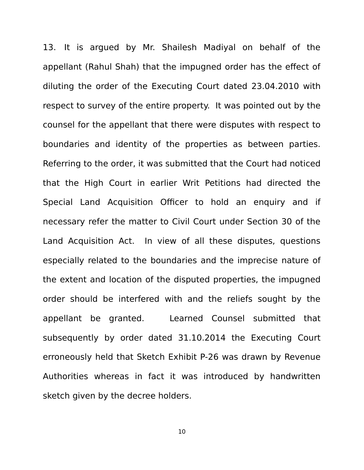13. It is argued by Mr. Shailesh Madiyal on behalf of the appellant (Rahul Shah) that the impugned order has the effect of diluting the order of the Executing Court dated 23.04.2010 with respect to survey of the entire property. It was pointed out by the counsel for the appellant that there were disputes with respect to boundaries and identity of the properties as between parties. Referring to the order, it was submitted that the Court had noticed that the High Court in earlier Writ Petitions had directed the Special Land Acquisition Officer to hold an enquiry and if necessary refer the matter to Civil Court under Section 30 of the Land Acquisition Act. In view of all these disputes, questions especially related to the boundaries and the imprecise nature of the extent and location of the disputed properties, the impugned order should be interfered with and the reliefs sought by the appellant be granted. Learned Counsel submitted that subsequently by order dated 31.10.2014 the Executing Court erroneously held that Sketch Exhibit P-26 was drawn by Revenue Authorities whereas in fact it was introduced by handwritten sketch given by the decree holders.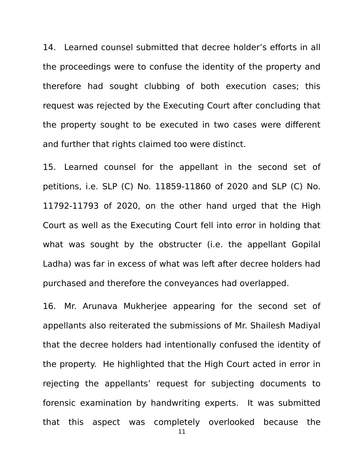14. Learned counsel submitted that decree holder's efforts in all the proceedings were to confuse the identity of the property and therefore had sought clubbing of both execution cases; this request was rejected by the Executing Court after concluding that the property sought to be executed in two cases were different and further that rights claimed too were distinct.

15. Learned counsel for the appellant in the second set of petitions, i.e. SLP (C) No. 11859-11860 of 2020 and SLP (C) No. 11792-11793 of 2020, on the other hand urged that the High Court as well as the Executing Court fell into error in holding that what was sought by the obstructer (i.e. the appellant Gopilal Ladha) was far in excess of what was left after decree holders had purchased and therefore the conveyances had overlapped.

16. Mr. Arunava Mukherjee appearing for the second set of appellants also reiterated the submissions of Mr. Shailesh Madiyal that the decree holders had intentionally confused the identity of the property. He highlighted that the High Court acted in error in rejecting the appellants' request for subjecting documents to forensic examination by handwriting experts. It was submitted that this aspect was completely overlooked because the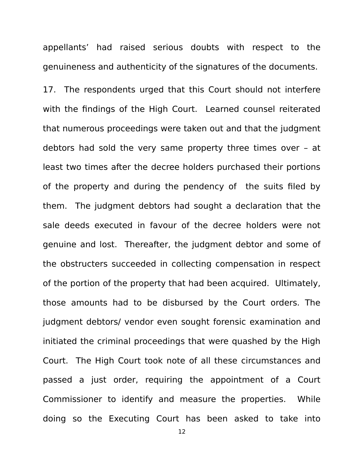appellants' had raised serious doubts with respect to the genuineness and authenticity of the signatures of the documents.

17. The respondents urged that this Court should not interfere with the findings of the High Court. Learned counsel reiterated that numerous proceedings were taken out and that the judgment debtors had sold the very same property three times over – at least two times after the decree holders purchased their portions of the property and during the pendency of the suits filed by them. The judgment debtors had sought a declaration that the sale deeds executed in favour of the decree holders were not genuine and lost. Thereafter, the judgment debtor and some of the obstructers succeeded in collecting compensation in respect of the portion of the property that had been acquired. Ultimately, those amounts had to be disbursed by the Court orders. The judgment debtors/ vendor even sought forensic examination and initiated the criminal proceedings that were quashed by the High Court. The High Court took note of all these circumstances and passed a just order, requiring the appointment of a Court Commissioner to identify and measure the properties. While doing so the Executing Court has been asked to take into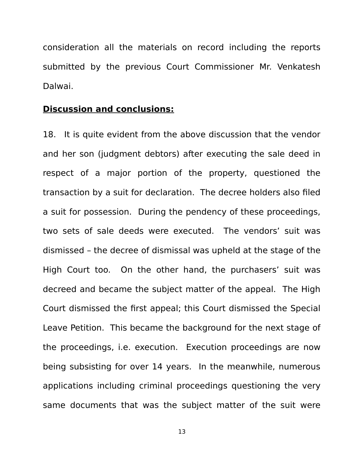consideration all the materials on record including the reports submitted by the previous Court Commissioner Mr. Venkatesh Dalwai.

#### **Discussion and conclusions:**

18. It is quite evident from the above discussion that the vendor and her son (judgment debtors) after executing the sale deed in respect of a major portion of the property, questioned the transaction by a suit for declaration. The decree holders also filed a suit for possession. During the pendency of these proceedings, two sets of sale deeds were executed. The vendors' suit was dismissed – the decree of dismissal was upheld at the stage of the High Court too. On the other hand, the purchasers' suit was decreed and became the subject matter of the appeal. The High Court dismissed the first appeal; this Court dismissed the Special Leave Petition. This became the background for the next stage of the proceedings, i.e. execution. Execution proceedings are now being subsisting for over 14 years. In the meanwhile, numerous applications including criminal proceedings questioning the very same documents that was the subject matter of the suit were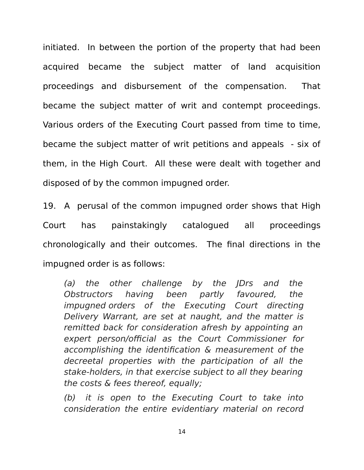initiated. In between the portion of the property that had been acquired became the subject matter of land acquisition proceedings and disbursement of the compensation. That became the subject matter of writ and contempt proceedings. Various orders of the Executing Court passed from time to time, became the subject matter of writ petitions and appeals - six of them, in the High Court. All these were dealt with together and disposed of by the common impugned order.

19. A perusal of the common impugned order shows that High Court has painstakingly catalogued all proceedings chronologically and their outcomes. The final directions in the impugned order is as follows:

(a) the other challenge by the JDrs and the Obstructors having been partly favoured, the impugned orders of the Executing Court directing Delivery Warrant, are set at naught, and the matter is remitted back for consideration afresh by appointing an expert person/official as the Court Commissioner for accomplishing the identification & measurement of the decreetal properties with the participation of all the stake-holders, in that exercise subject to all they bearing the costs & fees thereof, equally;

(b) it is open to the Executing Court to take into consideration the entire evidentiary material on record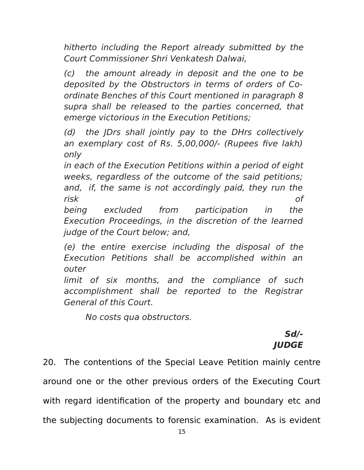hitherto including the Report already submitted by the Court Commissioner Shri Venkatesh Dalwai,

(c) the amount already in deposit and the one to be deposited by the Obstructors in terms of orders of Coordinate Benches of this Court mentioned in paragraph 8 supra shall be released to the parties concerned, that emerge victorious in the Execution Petitions;

(d) the JDrs shall jointly pay to the DHrs collectively an exemplary cost of Rs. 5,00,000/- (Rupees five lakh) only

in each of the Execution Petitions within a period of eight weeks, regardless of the outcome of the said petitions; and, if, the same is not accordingly paid, they run the risk of

being excluded from participation in the Execution Proceedings, in the discretion of the learned judge of the Court below; and,

(e) the entire exercise including the disposal of the Execution Petitions shall be accomplished within an outer

limit of six months, and the compliance of such accomplishment shall be reported to the Registrar General of this Court.

No costs qua obstructors.

# **Sd/- JUDGE**

20. The contentions of the Special Leave Petition mainly centre around one or the other previous orders of the Executing Court with regard identification of the property and boundary etc and the subjecting documents to forensic examination. As is evident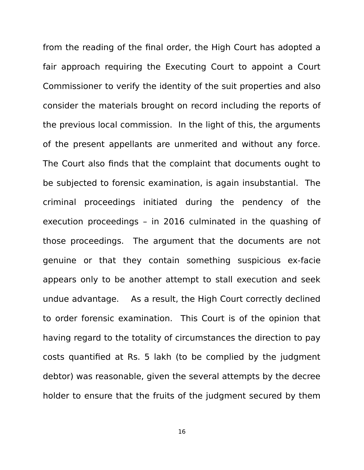from the reading of the final order, the High Court has adopted a fair approach requiring the Executing Court to appoint a Court Commissioner to verify the identity of the suit properties and also consider the materials brought on record including the reports of the previous local commission. In the light of this, the arguments of the present appellants are unmerited and without any force. The Court also finds that the complaint that documents ought to be subjected to forensic examination, is again insubstantial. The criminal proceedings initiated during the pendency of the execution proceedings – in 2016 culminated in the quashing of those proceedings. The argument that the documents are not genuine or that they contain something suspicious ex-facie appears only to be another attempt to stall execution and seek undue advantage. As a result, the High Court correctly declined to order forensic examination. This Court is of the opinion that having regard to the totality of circumstances the direction to pay costs quantified at Rs. 5 lakh (to be complied by the judgment debtor) was reasonable, given the several attempts by the decree holder to ensure that the fruits of the judgment secured by them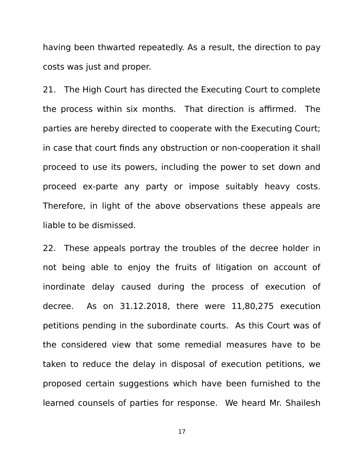having been thwarted repeatedly. As a result, the direction to pay costs was just and proper.

21. The High Court has directed the Executing Court to complete the process within six months. That direction is affirmed. The parties are hereby directed to cooperate with the Executing Court; in case that court finds any obstruction or non-cooperation it shall proceed to use its powers, including the power to set down and proceed ex-parte any party or impose suitably heavy costs. Therefore, in light of the above observations these appeals are liable to be dismissed.

22. These appeals portray the troubles of the decree holder in not being able to enjoy the fruits of litigation on account of inordinate delay caused during the process of execution of decree. As on 31.12.2018, there were 11,80,275 execution petitions pending in the subordinate courts. As this Court was of the considered view that some remedial measures have to be taken to reduce the delay in disposal of execution petitions, we proposed certain suggestions which have been furnished to the learned counsels of parties for response. We heard Mr. Shailesh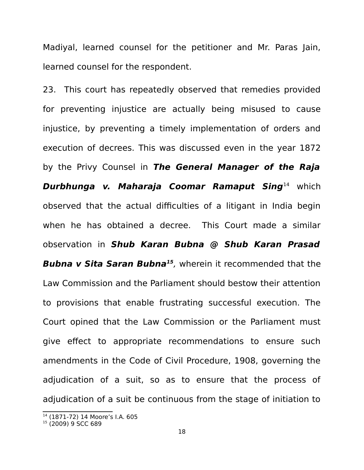Madiyal, learned counsel for the petitioner and Mr. Paras Jain, learned counsel for the respondent.

23. This court has repeatedly observed that remedies provided for preventing injustice are actually being misused to cause injustice, by preventing a timely implementation of orders and execution of decrees. This was discussed even in the year 1872 by the Privy Counsel in **The General Manager of the Raja Durbhunga v. Maharaja Coomar Ramaput Sing**[14](#page-17-0) which observed that the actual difficulties of a litigant in India begin when he has obtained a decree. This Court made a similar observation in **Shub Karan Bubna @ Shub Karan Prasad Bubna v Sita Saran Bubna[15](#page-17-1)** , wherein it recommended that the Law Commission and the Parliament should bestow their attention to provisions that enable frustrating successful execution. The Court opined that the Law Commission or the Parliament must give effect to appropriate recommendations to ensure such amendments in the Code of Civil Procedure, 1908, governing the adjudication of a suit, so as to ensure that the process of adjudication of a suit be continuous from the stage of initiation to

<span id="page-17-0"></span><sup>14</sup> (1871-72) 14 Moore's I.A. 605

<span id="page-17-1"></span><sup>15</sup> (2009) 9 SCC 689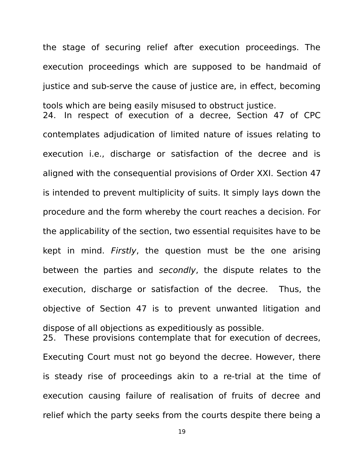the stage of securing relief after execution proceedings. The execution proceedings which are supposed to be handmaid of justice and sub-serve the cause of justice are, in effect, becoming tools which are being easily misused to obstruct justice. 24. In respect of execution of a decree, Section 47 of CPC contemplates adjudication of limited nature of issues relating to execution i.e., discharge or satisfaction of the decree and is aligned with the consequential provisions of Order XXI. Section 47 is intended to prevent multiplicity of suits. It simply lays down the procedure and the form whereby the court reaches a decision. For the applicability of the section, two essential requisites have to be kept in mind. Firstly, the question must be the one arising between the parties and secondly, the dispute relates to the execution, discharge or satisfaction of the decree. Thus, the objective of Section 47 is to prevent unwanted litigation and dispose of all objections as expeditiously as possible. 25. These provisions contemplate that for execution of decrees,

Executing Court must not go beyond the decree. However, there is steady rise of proceedings akin to a re-trial at the time of execution causing failure of realisation of fruits of decree and relief which the party seeks from the courts despite there being a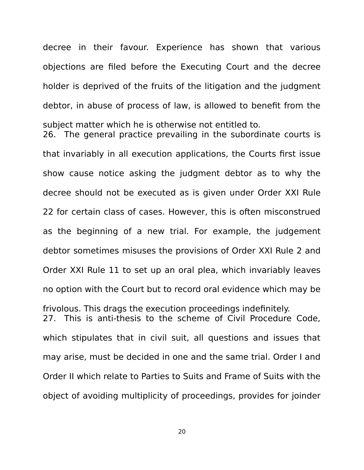objections are filed before the Executing Court and the decree holder is deprived of the fruits of the litigation and the judgment debtor, in abuse of process of law, is allowed to benefit from the subject matter which he is otherwise not entitled to. 26. The general practice prevailing in the subordinate courts is that invariably in all execution applications, the Courts first issue show cause notice asking the judgment debtor as to why the decree should not be executed as is given under Order XXI Rule 22 for certain class of cases. However, this is often misconstrued as the beginning of a new trial. For example, the judgement debtor sometimes misuses the provisions of Order XXI Rule 2 and Order XXI Rule 11 to set up an oral plea, which invariably leaves no option with the Court but to record oral evidence which may be frivolous. This drags the execution proceedings indefinitely. 27. This is anti-thesis to the scheme of Civil Procedure Code, which stipulates that in civil suit, all questions and issues that may arise, must be decided in one and the same trial. Order I and Order II which relate to Parties to Suits and Frame of Suits with the object of avoiding multiplicity of proceedings, provides for joinder

decree in their favour. Experience has shown that various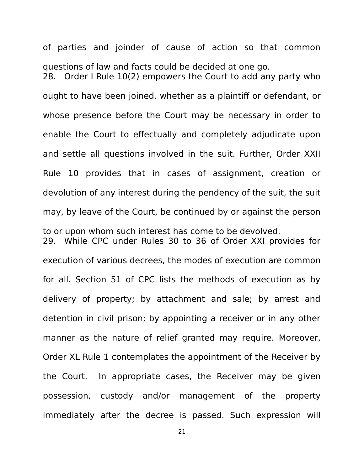of parties and joinder of cause of action so that common questions of law and facts could be decided at one go. 28. Order I Rule 10(2) empowers the Court to add any party who ought to have been joined, whether as a plaintiff or defendant, or whose presence before the Court may be necessary in order to enable the Court to effectually and completely adjudicate upon and settle all questions involved in the suit. Further, Order XXII Rule 10 provides that in cases of assignment, creation or devolution of any interest during the pendency of the suit, the suit may, by leave of the Court, be continued by or against the person to or upon whom such interest has come to be devolved. 29. While CPC under Rules 30 to 36 of Order XXI provides for execution of various decrees, the modes of execution are common for all. Section 51 of CPC lists the methods of execution as by delivery of property; by attachment and sale; by arrest and detention in civil prison; by appointing a receiver or in any other manner as the nature of relief granted may require. Moreover, Order XL Rule 1 contemplates the appointment of the Receiver by the Court. In appropriate cases, the Receiver may be given possession, custody and/or management of the property immediately after the decree is passed. Such expression will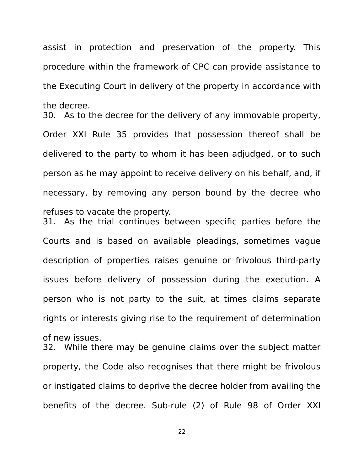assist in protection and preservation of the property. This procedure within the framework of CPC can provide assistance to the Executing Court in delivery of the property in accordance with the decree.

30. As to the decree for the delivery of any immovable property, Order XXI Rule 35 provides that possession thereof shall be delivered to the party to whom it has been adjudged, or to such person as he may appoint to receive delivery on his behalf, and, if necessary, by removing any person bound by the decree who refuses to vacate the property.

31. As the trial continues between specific parties before the Courts and is based on available pleadings, sometimes vague description of properties raises genuine or frivolous third-party issues before delivery of possession during the execution. A person who is not party to the suit, at times claims separate rights or interests giving rise to the requirement of determination of new issues.

32. While there may be genuine claims over the subject matter property, the Code also recognises that there might be frivolous or instigated claims to deprive the decree holder from availing the benefits of the decree. Sub-rule (2) of Rule 98 of Order XXI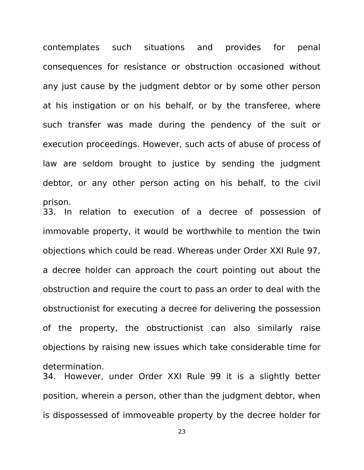contemplates such situations and provides for penal consequences for resistance or obstruction occasioned without any just cause by the judgment debtor or by some other person at his instigation or on his behalf, or by the transferee, where such transfer was made during the pendency of the suit or execution proceedings. However, such acts of abuse of process of law are seldom brought to justice by sending the judgment debtor, or any other person acting on his behalf, to the civil prison.

33. In relation to execution of a decree of possession of immovable property, it would be worthwhile to mention the twin objections which could be read. Whereas under Order XXI Rule 97, a decree holder can approach the court pointing out about the obstruction and require the court to pass an order to deal with the obstructionist for executing a decree for delivering the possession of the property, the obstructionist can also similarly raise objections by raising new issues which take considerable time for determination.

34. However, under Order XXI Rule 99 it is a slightly better position, wherein a person, other than the judgment debtor, when is dispossessed of immoveable property by the decree holder for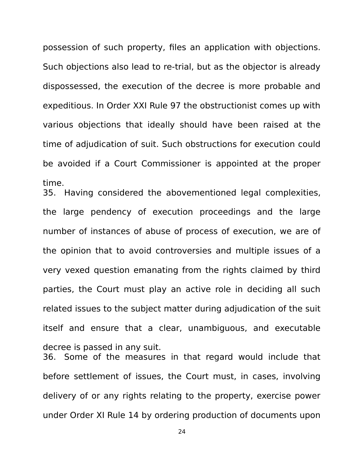possession of such property, files an application with objections. Such objections also lead to re-trial, but as the objector is already dispossessed, the execution of the decree is more probable and expeditious. In Order XXI Rule 97 the obstructionist comes up with various objections that ideally should have been raised at the time of adjudication of suit. Such obstructions for execution could be avoided if a Court Commissioner is appointed at the proper time.

35. Having considered the abovementioned legal complexities, the large pendency of execution proceedings and the large number of instances of abuse of process of execution, we are of the opinion that to avoid controversies and multiple issues of a very vexed question emanating from the rights claimed by third parties, the Court must play an active role in deciding all such related issues to the subject matter during adjudication of the suit itself and ensure that a clear, unambiguous, and executable decree is passed in any suit.

36. Some of the measures in that regard would include that before settlement of issues, the Court must, in cases, involving delivery of or any rights relating to the property, exercise power under Order XI Rule 14 by ordering production of documents upon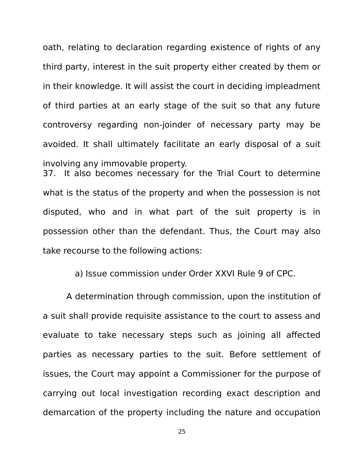oath, relating to declaration regarding existence of rights of any third party, interest in the suit property either created by them or in their knowledge. It will assist the court in deciding impleadment of third parties at an early stage of the suit so that any future controversy regarding non-joinder of necessary party may be avoided. It shall ultimately facilitate an early disposal of a suit involving any immovable property. 37. It also becomes necessary for the Trial Court to determine what is the status of the property and when the possession is not disputed, who and in what part of the suit property is in possession other than the defendant. Thus, the Court may also take recourse to the following actions:

a) Issue commission under Order XXVI Rule 9 of CPC.

 A determination through commission, upon the institution of a suit shall provide requisite assistance to the court to assess and evaluate to take necessary steps such as joining all affected parties as necessary parties to the suit. Before settlement of issues, the Court may appoint a Commissioner for the purpose of carrying out local investigation recording exact description and demarcation of the property including the nature and occupation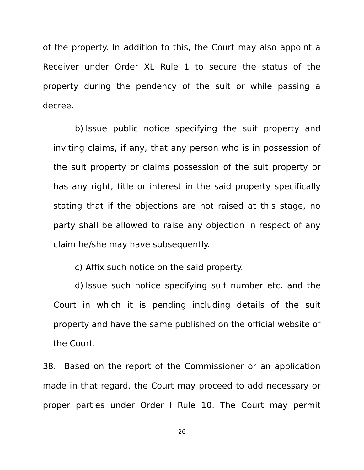of the property. In addition to this, the Court may also appoint a Receiver under Order XL Rule 1 to secure the status of the property during the pendency of the suit or while passing a decree.

b) Issue public notice specifying the suit property and inviting claims, if any, that any person who is in possession of the suit property or claims possession of the suit property or has any right, title or interest in the said property specifically stating that if the objections are not raised at this stage, no party shall be allowed to raise any objection in respect of any claim he/she may have subsequently.

c) Affix such notice on the said property.

d) Issue such notice specifying suit number etc. and the Court in which it is pending including details of the suit property and have the same published on the official website of the Court.

38. Based on the report of the Commissioner or an application made in that regard, the Court may proceed to add necessary or proper parties under Order I Rule 10. The Court may permit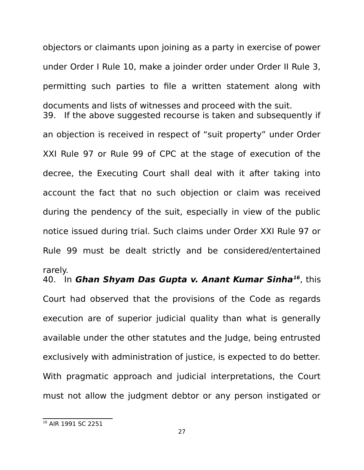objectors or claimants upon joining as a party in exercise of power under Order I Rule 10, make a joinder order under Order II Rule 3, permitting such parties to file a written statement along with documents and lists of witnesses and proceed with the suit. 39. If the above suggested recourse is taken and subsequently if an objection is received in respect of "suit property" under Order XXI Rule 97 or Rule 99 of CPC at the stage of execution of the decree, the Executing Court shall deal with it after taking into account the fact that no such objection or claim was received during the pendency of the suit, especially in view of the public notice issued during trial. Such claims under Order XXI Rule 97 or Rule 99 must be dealt strictly and be considered/entertained rarely.

40. In **Ghan Shyam Das Gupta v. Anant Kumar Sinha[16](#page-26-0)**, this Court had observed that the provisions of the Code as regards execution are of superior judicial quality than what is generally available under the other statutes and the Judge, being entrusted exclusively with administration of justice, is expected to do better. With pragmatic approach and judicial interpretations, the Court must not allow the judgment debtor or any person instigated or

<span id="page-26-0"></span><sup>&</sup>lt;sup>16</sup> AIR 1991 SC 2251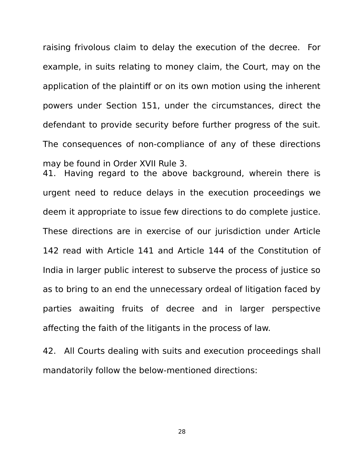raising frivolous claim to delay the execution of the decree. For example, in suits relating to money claim, the Court, may on the application of the plaintiff or on its own motion using the inherent powers under Section 151, under the circumstances, direct the defendant to provide security before further progress of the suit. The consequences of non-compliance of any of these directions may be found in Order XVII Rule 3.

41. Having regard to the above background, wherein there is urgent need to reduce delays in the execution proceedings we deem it appropriate to issue few directions to do complete justice. These directions are in exercise of our jurisdiction under Article 142 read with Article 141 and Article 144 of the Constitution of India in larger public interest to subserve the process of justice so as to bring to an end the unnecessary ordeal of litigation faced by parties awaiting fruits of decree and in larger perspective affecting the faith of the litigants in the process of law.

42. All Courts dealing with suits and execution proceedings shall mandatorily follow the below-mentioned directions: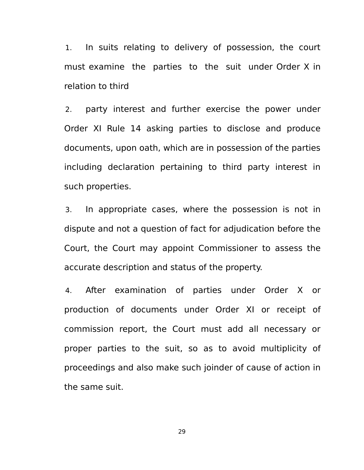1. In suits relating to delivery of possession, the court must examine the parties to the suit under Order X in relation to third

2. party interest and further exercise the power under Order XI Rule 14 asking parties to disclose and produce documents, upon oath, which are in possession of the parties including declaration pertaining to third party interest in such properties.

3. In appropriate cases, where the possession is not in dispute and not a question of fact for adjudication before the Court, the Court may appoint Commissioner to assess the accurate description and status of the property.

4. After examination of parties under Order X or production of documents under Order XI or receipt of commission report, the Court must add all necessary or proper parties to the suit, so as to avoid multiplicity of proceedings and also make such joinder of cause of action in the same suit.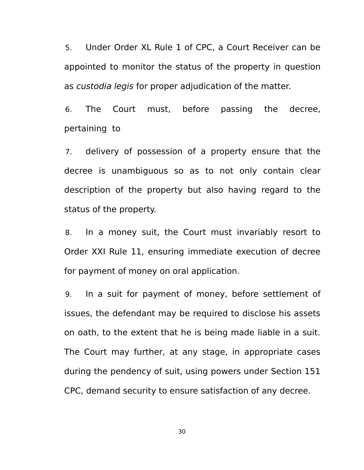5. Under Order XL Rule 1 of CPC, a Court Receiver can be appointed to monitor the status of the property in question as custodia legis for proper adjudication of the matter.

6. The Court must, before passing the decree, pertaining to

7. delivery of possession of a property ensure that the decree is unambiguous so as to not only contain clear description of the property but also having regard to the status of the property.

8. In a money suit, the Court must invariably resort to Order XXI Rule 11, ensuring immediate execution of decree for payment of money on oral application.

9. In a suit for payment of money, before settlement of issues, the defendant may be required to disclose his assets on oath, to the extent that he is being made liable in a suit. The Court may further, at any stage, in appropriate cases during the pendency of suit, using powers under Section 151 CPC, demand security to ensure satisfaction of any decree.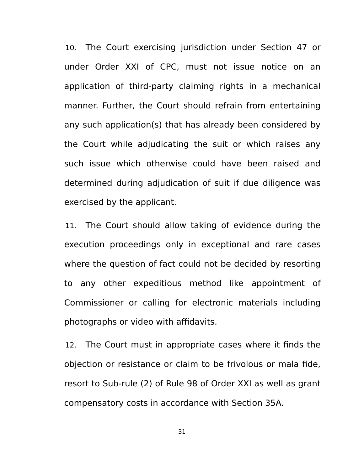10. The Court exercising jurisdiction under Section 47 or under Order XXI of CPC, must not issue notice on an application of third-party claiming rights in a mechanical manner. Further, the Court should refrain from entertaining any such application(s) that has already been considered by the Court while adjudicating the suit or which raises any such issue which otherwise could have been raised and determined during adjudication of suit if due diligence was exercised by the applicant.

11. The Court should allow taking of evidence during the execution proceedings only in exceptional and rare cases where the question of fact could not be decided by resorting to any other expeditious method like appointment of Commissioner or calling for electronic materials including photographs or video with affidavits.

12. The Court must in appropriate cases where it finds the objection or resistance or claim to be frivolous or mala fide, resort to Sub-rule (2) of Rule 98 of Order XXI as well as grant compensatory costs in accordance with Section 35A.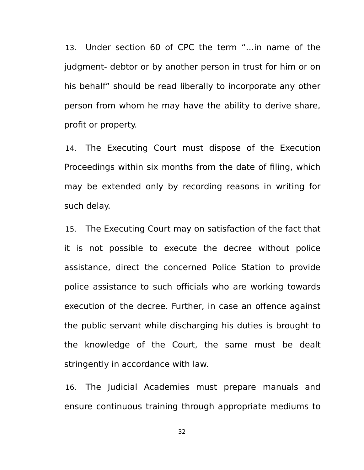13. Under section 60 of CPC the term "…in name of the judgment- debtor or by another person in trust for him or on his behalf" should be read liberally to incorporate any other person from whom he may have the ability to derive share, profit or property.

14. The Executing Court must dispose of the Execution Proceedings within six months from the date of filing, which may be extended only by recording reasons in writing for such delay.

15. The Executing Court may on satisfaction of the fact that it is not possible to execute the decree without police assistance, direct the concerned Police Station to provide police assistance to such officials who are working towards execution of the decree. Further, in case an offence against the public servant while discharging his duties is brought to the knowledge of the Court, the same must be dealt stringently in accordance with law.

16. The Judicial Academies must prepare manuals and ensure continuous training through appropriate mediums to